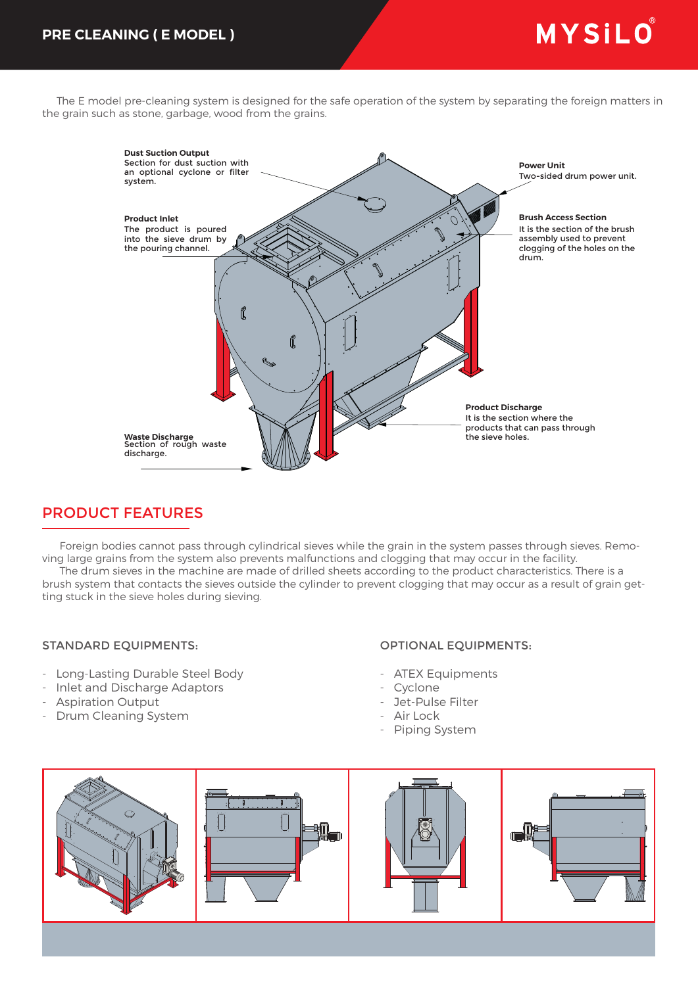# MYSILO®

 The E model pre-cleaning system is designed for the safe operation of the system by separating the foreign matters in the grain such as stone, garbage, wood from the grains.



## PRODUCT FEATURES

 Foreign bodies cannot pass through cylindrical sieves while the grain in the system passes through sieves. Removing large grains from the system also prevents malfunctions and clogging that may occur in the facility.

 The drum sieves in the machine are made of drilled sheets according to the product characteristics. There is a brush system that contacts the sieves outside the cylinder to prevent clogging that may occur as a result of grain getting stuck in the sieve holes during sieving.

#### STANDARD EQUIPMENTS:

- Long-Lasting Durable Steel Body
- Inlet and Discharge Adaptors
- Aspiration Output
- Drum Cleaning System

#### OPTIONAL EQUIPMENTS:

- ATEX Equipments
- Cyclone
- Jet-Pulse Filter
- Air Lock
- Piping System